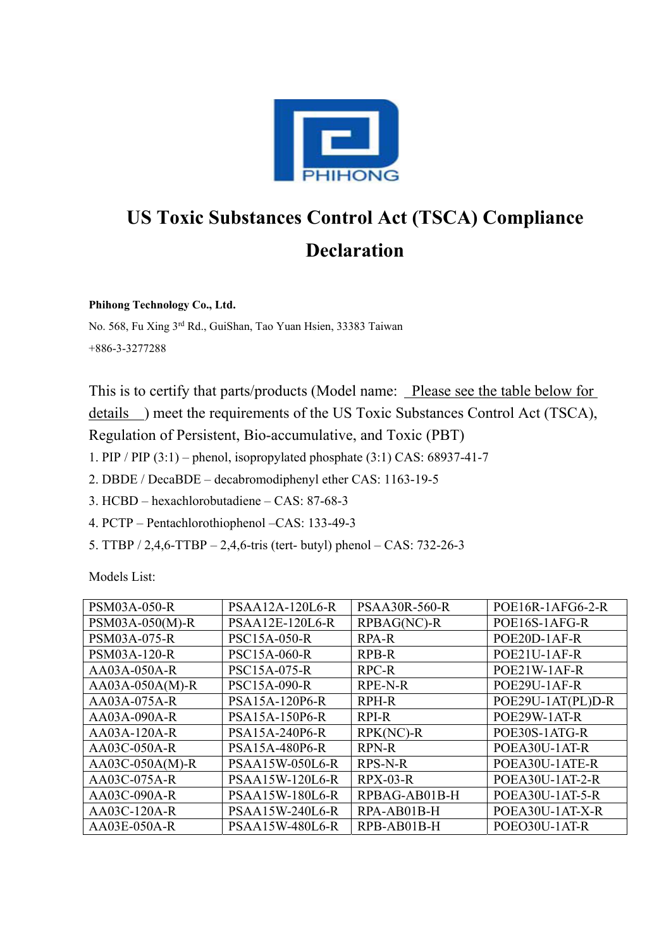

## **US Toxic Substances Control Act (TSCA) Compliance Declaration**

**Phihong Technology Co., Ltd.** 

No. 568, Fu Xing 3rd Rd., GuiShan, Tao Yuan Hsien, 33383 Taiwan +886-3-3277288

This is to certify that parts/products (Model name: Please see the table below for details ) meet the requirements of the US Toxic Substances Control Act (TSCA), Regulation of Persistent, Bio-accumulative, and Toxic (PBT)

1. PIP / PIP (3:1) – phenol, isopropylated phosphate (3:1) CAS: 68937-41-7

2. DBDE / DecaBDE – decabromodiphenyl ether CAS: 1163-19-5

3. HCBD – hexachlorobutadiene – CAS: 87-68-3

4. PCTP – Pentachlorothiophenol –CAS: 133-49-3

5. TTBP / 2,4,6-TTBP – 2,4,6-tris (tert- butyl) phenol – CAS: 732-26-3

Models List:

| <b>PSM03A-050-R</b> | PSAA12A-120L6-R        | <b>PSAA30R-560-R</b> | POE16R-1AFG6-2-R  |
|---------------------|------------------------|----------------------|-------------------|
| PSM03A-050(M)-R     | PSAA12E-120L6-R        | RPBAG(NC)-R          | POE16S-1AFG-R     |
| <b>PSM03A-075-R</b> | <b>PSC15A-050-R</b>    | <b>RPA-R</b>         | POE20D-1AF-R      |
| <b>PSM03A-120-R</b> | <b>PSC15A-060-R</b>    | <b>RPB-R</b>         | POE21U-1AF-R      |
| AA03A-050A-R        | <b>PSC15A-075-R</b>    | RPC-R                | POE21W-1AF-R      |
| $AA03A-050A(M)-R$   | <b>PSC15A-090-R</b>    | RPE-N-R              | POE29U-1AF-R      |
| AA03A-075A-R        | PSA15A-120P6-R         | <b>RPH-R</b>         | POE29U-1AT(PL)D-R |
| AA03A-090A-R        | PSA15A-150P6-R         | RPI-R                | POE29W-1AT-R      |
| $AA03A-120A-R$      | PSA15A-240P6-R         | $RPK(NC) - R$        | POE30S-1ATG-R     |
| AA03C-050A-R        | PSA15A-480P6-R         | <b>RPN-R</b>         | POEA30U-1AT-R     |
| $AA03C-050A(M)$ -R  | <b>PSAA15W-050L6-R</b> | <b>RPS-N-R</b>       | POEA30U-1ATE-R    |
| AA03C-075A-R        | <b>PSAA15W-120L6-R</b> | $RPX-03-R$           | POEA30U-1AT-2-R   |
| AA03C-090A-R        | <b>PSAA15W-180L6-R</b> | RPBAG-AB01B-H        | POEA30U-1AT-5-R   |
| AA03C-120A-R        | <b>PSAA15W-240L6-R</b> | RPA-AB01B-H          | POEA30U-1AT-X-R   |
| AA03E-050A-R        | <b>PSAA15W-480L6-R</b> | RPB-AB01B-H          | POEO30U-1AT-R     |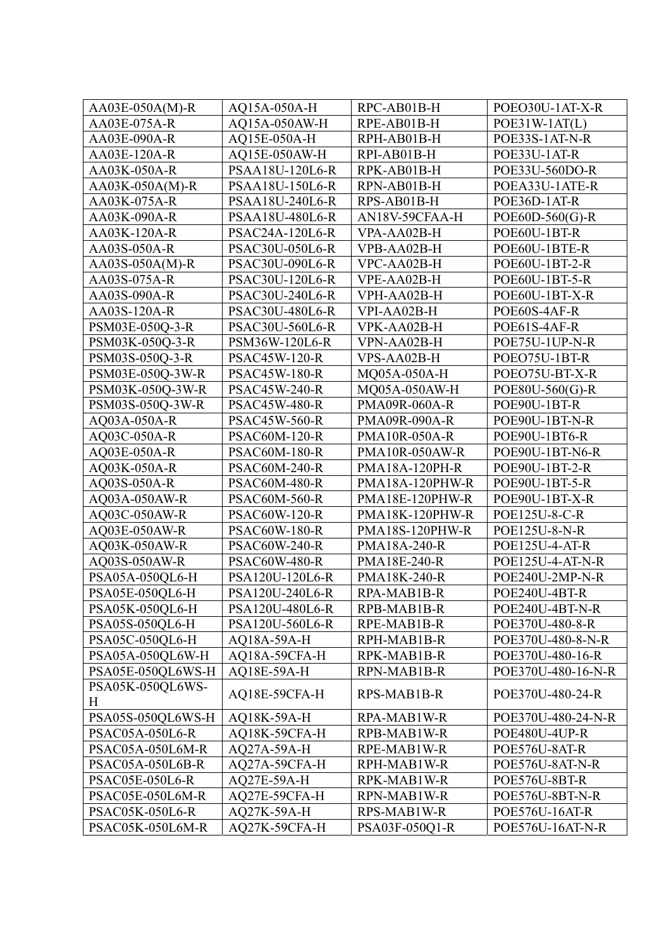| $AA03E-050A(M)-R$      | AO15A-050A-H           | RPC-AB01B-H           | POEO30U-1AT-X-R       |
|------------------------|------------------------|-----------------------|-----------------------|
| AA03E-075A-R           | AQ15A-050AW-H          | RPE-AB01B-H           | $POE31W-1AT(L)$       |
| AA03E-090A-R           | AQ15E-050A-H           | RPH-AB01B-H           | POE33S-1AT-N-R        |
| AA03E-120A-R           | AQ15E-050AW-H          | RPI-AB01B-H           | POE33U-1AT-R          |
| AA03K-050A-R           | PSAA18U-120L6-R        | RPK-AB01B-H           | POE33U-560DO-R        |
| $AA03K-050A(M)-R$      | <b>PSAA18U-150L6-R</b> | RPN-AB01B-H           | POEA33U-1ATE-R        |
| AA03K-075A-R           | <b>PSAA18U-240L6-R</b> | RPS-AB01B-H           | POE36D-1AT-R          |
| AA03K-090A-R           | <b>PSAA18U-480L6-R</b> | AN18V-59CFAA-H        | $POE60D-560(G)$ -R    |
| AA03K-120A-R           | <b>PSAC24A-120L6-R</b> | VPA-AA02B-H           | POE60U-1BT-R          |
| AA03S-050A-R           | <b>PSAC30U-050L6-R</b> | VPB-AA02B-H           | POE60U-1BTE-R         |
| AA03S-050A(M)-R        | <b>PSAC30U-090L6-R</b> | VPC-AA02B-H           | POE60U-1BT-2-R        |
| AA03S-075A-R           | PSAC30U-120L6-R        | VPE-AA02B-H           | POE60U-1BT-5-R        |
| AA03S-090A-R           | <b>PSAC30U-240L6-R</b> | VPH-AA02B-H           | POE60U-1BT-X-R        |
| AA03S-120A-R           | <b>PSAC30U-480L6-R</b> | VPI-AA02B-H           | POE60S-4AF-R          |
| PSM03E-050Q-3-R        | PSAC30U-560L6-R        | VPK-AA02B-H           | POE61S-4AF-R          |
| PSM03K-050O-3-R        | PSM36W-120L6-R         | VPN-AA02B-H           | POE75U-1UP-N-R        |
| PSM03S-050Q-3-R        | <b>PSAC45W-120-R</b>   | VPS-AA02B-H           | POEO75U-1BT-R         |
| PSM03E-050Q-3W-R       | PSAC45W-180-R          | MQ05A-050A-H          | POEO75U-BT-X-R        |
| PSM03K-050Q-3W-R       | <b>PSAC45W-240-R</b>   | MQ05A-050AW-H         | POE80U-560(G)-R       |
| PSM03S-050Q-3W-R       | <b>PSAC45W-480-R</b>   | <b>PMA09R-060A-R</b>  | POE90U-1BT-R          |
| AQ03A-050A-R           | <b>PSAC45W-560-R</b>   | <b>PMA09R-090A-R</b>  | POE90U-1BT-N-R        |
| AQ03C-050A-R           | PSAC60M-120-R          | <b>PMA10R-050A-R</b>  | POE90U-1BT6-R         |
| AQ03E-050A-R           | <b>PSAC60M-180-R</b>   | <b>PMA10R-050AW-R</b> | POE90U-1BT-N6-R       |
| AQ03K-050A-R           | <b>PSAC60M-240-R</b>   | <b>PMA18A-120PH-R</b> | POE90U-1BT-2-R        |
| AQ03S-050A-R           | <b>PSAC60M-480-R</b>   | PMA18A-120PHW-R       | POE90U-1BT-5-R        |
| AQ03A-050AW-R          | <b>PSAC60M-560-R</b>   | PMA18E-120PHW-R       | POE90U-1BT-X-R        |
| AQ03C-050AW-R          | <b>PSAC60W-120-R</b>   | PMA18K-120PHW-R       | POE125U-8-C-R         |
| AQ03E-050AW-R          | <b>PSAC60W-180-R</b>   | PMA18S-120PHW-R       | POE125U-8-N-R         |
| AQ03K-050AW-R          | <b>PSAC60W-240-R</b>   | PMA18A-240-R          | <b>POE125U-4-AT-R</b> |
| AQ03S-050AW-R          | PSAC60W-480-R          | PMA18E-240-R          | POE125U-4-AT-N-R      |
| PSA05A-050QL6-H        | PSA120U-120L6-R        | PMA18K-240-R          | POE240U-2MP-N-R       |
| PSA05E-050QL6-H        | PSA120U-240L6-R        | RPA-MAB1B-R           | POE240U-4BT-R         |
| PSA05K-050QL6-H        | <b>PSA120U-480L6-R</b> | RPB-MAB1B-R           | POE240U-4BT-N-R       |
| PSA05S-050QL6-H        | PSA120U-560L6-R        | RPE-MAB1B-R           | POE370U-480-8-R       |
| PSA05C-050QL6-H        | AQ18A-59A-H            | RPH-MAB1B-R           | POE370U-480-8-N-R     |
| PSA05A-050QL6W-H       | AQ18A-59CFA-H          | RPK-MAB1B-R           | POE370U-480-16-R      |
| PSA05E-050QL6WS-H      | AQ18E-59A-H            | RPN-MAB1B-R           | POE370U-480-16-N-R    |
| PSA05K-050QL6WS-       | AQ18E-59CFA-H          | RPS-MAB1B-R           | POE370U-480-24-R      |
| Η                      |                        |                       |                       |
| PSA05S-050QL6WS-H      | AQ18K-59A-H            | RPA-MAB1W-R           | POE370U-480-24-N-R    |
| <b>PSAC05A-050L6-R</b> | AQ18K-59CFA-H          | RPB-MAB1W-R           | POE480U-4UP-R         |
| PSAC05A-050L6M-R       | AQ27A-59A-H            | RPE-MAB1W-R           | POE576U-8AT-R         |
| PSAC05A-050L6B-R       | AQ27A-59CFA-H          | RPH-MAB1W-R           | POE576U-8AT-N-R       |
| <b>PSAC05E-050L6-R</b> | AQ27E-59A-H            | RPK-MAB1W-R           | POE576U-8BT-R         |
| PSAC05E-050L6M-R       | AQ27E-59CFA-H          | RPN-MAB1W-R           | POE576U-8BT-N-R       |
| <b>PSAC05K-050L6-R</b> | AQ27K-59A-H            | RPS-MAB1W-R           | POE576U-16AT-R        |
| PSAC05K-050L6M-R       | AQ27K-59CFA-H          | PSA03F-050Q1-R        | POE576U-16AT-N-R      |